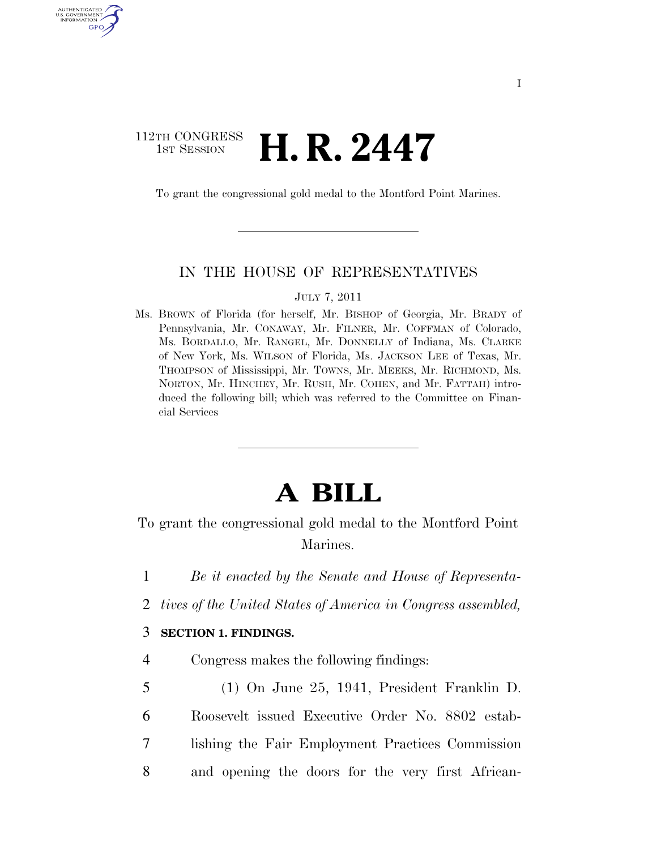### 112TH CONGRESS  $\frac{1}{15T}$  Session **H. R. 2447**

AUTHENTICATE U.S. GOVERNMENT GPO

To grant the congressional gold medal to the Montford Point Marines.

#### IN THE HOUSE OF REPRESENTATIVES

#### JULY 7, 2011

Ms. BROWN of Florida (for herself, Mr. BISHOP of Georgia, Mr. BRADY of Pennsylvania, Mr. CONAWAY, Mr. FILNER, Mr. COFFMAN of Colorado, Ms. BORDALLO, Mr. RANGEL, Mr. DONNELLY of Indiana, Ms. CLARKE of New York, Ms. WILSON of Florida, Ms. JACKSON LEE of Texas, Mr. THOMPSON of Mississippi, Mr. TOWNS, Mr. MEEKS, Mr. RICHMOND, Ms. NORTON, Mr. HINCHEY, Mr. RUSH, Mr. COHEN, and Mr. FATTAH) introduced the following bill; which was referred to the Committee on Financial Services

# **A BILL**

To grant the congressional gold medal to the Montford Point Marines.

- 1 *Be it enacted by the Senate and House of Representa-*
- 2 *tives of the United States of America in Congress assembled,*

#### 3 **SECTION 1. FINDINGS.**

- 4 Congress makes the following findings:
- 5 (1) On June 25, 1941, President Franklin D. 6 Roosevelt issued Executive Order No. 8802 estab-7 lishing the Fair Employment Practices Commission 8 and opening the doors for the very first African-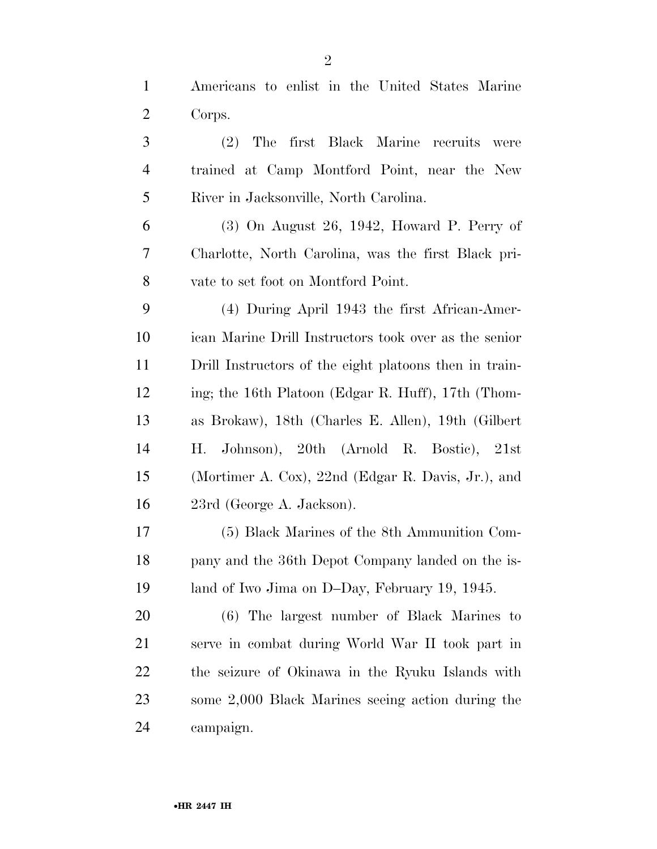Americans to enlist in the United States Marine Corps.

 (2) The first Black Marine recruits were trained at Camp Montford Point, near the New River in Jacksonville, North Carolina.

 (3) On August 26, 1942, Howard P. Perry of Charlotte, North Carolina, was the first Black pri-vate to set foot on Montford Point.

 (4) During April 1943 the first African-Amer- ican Marine Drill Instructors took over as the senior Drill Instructors of the eight platoons then in train- ing; the 16th Platoon (Edgar R. Huff), 17th (Thom- as Brokaw), 18th (Charles E. Allen), 19th (Gilbert H. Johnson), 20th (Arnold R. Bostic), 21st (Mortimer A. Cox), 22nd (Edgar R. Davis, Jr.), and 23rd (George A. Jackson).

 (5) Black Marines of the 8th Ammunition Com- pany and the 36th Depot Company landed on the is-19 land of Iwo Jima on D–Day, February 19, 1945.

 (6) The largest number of Black Marines to serve in combat during World War II took part in the seizure of Okinawa in the Ryuku Islands with some 2,000 Black Marines seeing action during the campaign.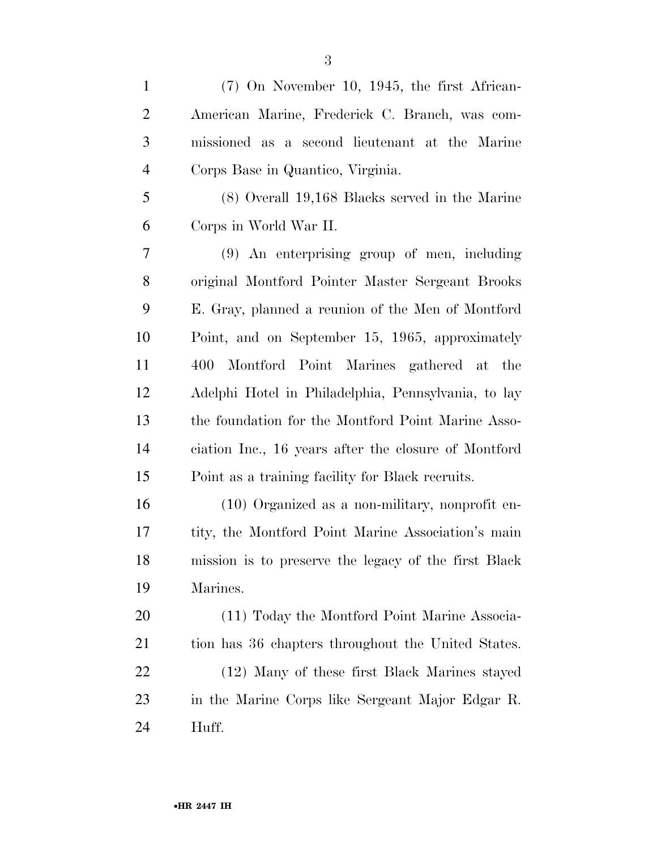| $\mathbf{1}$   | $(7)$ On November 10, 1945, the first African-       |
|----------------|------------------------------------------------------|
| $\overline{2}$ | American Marine, Frederick C. Branch, was com-       |
| 3              | missioned as a second lieutenant at the Marine       |
| $\overline{4}$ | Corps Base in Quantico, Virginia.                    |
| 5              | (8) Overall 19,168 Blacks served in the Marine       |
| 6              | Corps in World War II.                               |
| 7              | $(9)$ An enterprising group of men, including        |
| 8              | original Montford Pointer Master Sergeant Brooks     |
| 9              | E. Gray, planned a reunion of the Men of Montford    |
| 10             | Point, and on September 15, 1965, approximately      |
| 11             | Montford Point Marines gathered at the<br>400        |
| 12             | Adelphi Hotel in Philadelphia, Pennsylvania, to lay  |
| 13             | the foundation for the Montford Point Marine Asso-   |
| 14             | ciation Inc., 16 years after the closure of Montford |
| 15             | Point as a training facility for Black recruits.     |
| 16             | (10) Organized as a non-military, nonprofit en-      |
| 17             | tity, the Montford Point Marine Association's main   |
| 18             | mission is to preserve the legacy of the first Black |
| 19             | Marines.                                             |
| 20             | (11) Today the Montford Point Marine Associa-        |
| 21             | tion has 36 chapters throughout the United States.   |
| 22             | (12) Many of these first Black Marines stayed        |
| 23             | in the Marine Corps like Sergeant Major Edgar R.     |
| 24             | Huff.                                                |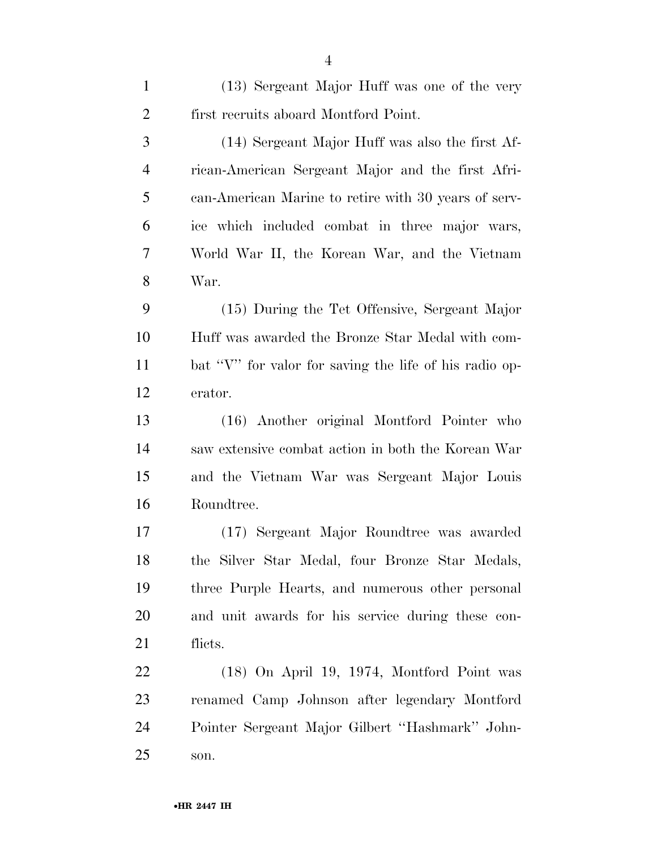| $\mathbf{1}$   | (13) Sergeant Major Huff was one of the very           |
|----------------|--------------------------------------------------------|
| $\overline{2}$ | first recruits aboard Montford Point.                  |
| 3              | (14) Sergeant Major Huff was also the first Af-        |
| $\overline{4}$ | rican-American Sergeant Major and the first Afri-      |
| 5              | can-American Marine to retire with 30 years of serv-   |
| 6              | ice which included combat in three major wars,         |
| 7              | World War II, the Korean War, and the Vietnam          |
| 8              | War.                                                   |
| 9              | (15) During the Tet Offensive, Sergeant Major          |
| 10             | Huff was awarded the Bronze Star Medal with com-       |
| 11             | bat "V" for valor for saving the life of his radio op- |
| 12             | erator.                                                |
| 13             | (16) Another original Montford Pointer who             |
| 14             | saw extensive combat action in both the Korean War     |
| 15             | and the Vietnam War was Sergeant Major Louis           |
| 16             | Roundtree.                                             |
| 17             | (17) Sergeant Major Roundtree was awarded              |
| 18             | the Silver Star Medal, four Bronze Star Medals,        |
| 19             | three Purple Hearts, and numerous other personal       |
| 20             | and unit awards for his service during these con-      |
| 21             | flicts.                                                |
| 22             | (18) On April 19, 1974, Montford Point was             |
| 23             | renamed Camp Johnson after legendary Montford          |
| 24             | Pointer Sergeant Major Gilbert "Hashmark" John-        |
| 25             | son.                                                   |
|                |                                                        |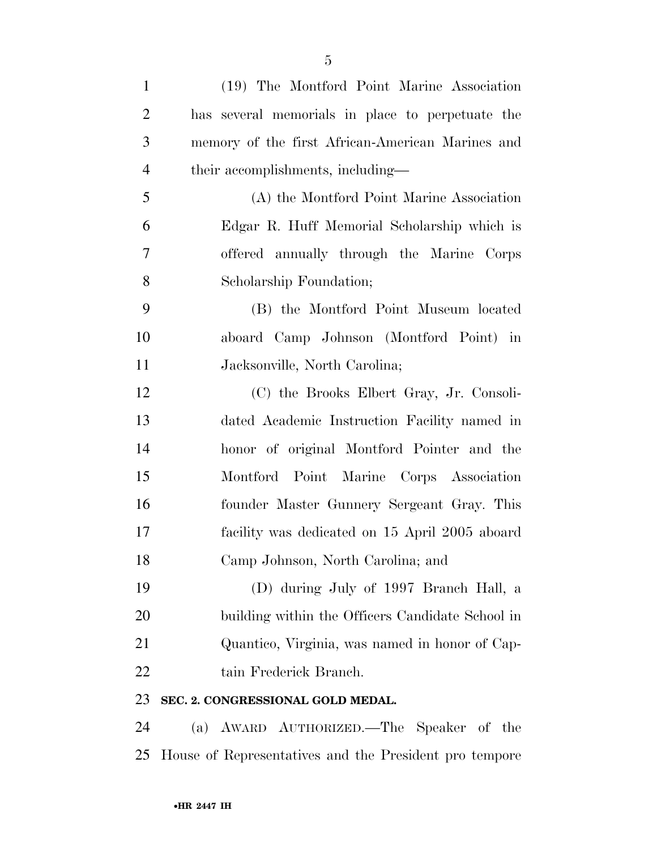| $\mathbf{1}$   | (19) The Montford Point Marine Association       |
|----------------|--------------------------------------------------|
| $\overline{2}$ | has several memorials in place to perpetuate the |
| 3              | memory of the first African-American Marines and |
| $\overline{4}$ | their accomplishments, including-                |
| 5              | (A) the Montford Point Marine Association        |
| 6              | Edgar R. Huff Memorial Scholarship which is      |
| 7              | offered annually through the Marine Corps        |
| 8              | Scholarship Foundation;                          |
| 9              | (B) the Montford Point Museum located            |
| 10             | aboard Camp Johnson (Montford Point) in          |
| 11             | Jacksonville, North Carolina;                    |
| 12             | (C) the Brooks Elbert Gray, Jr. Consoli-         |
| 13             | dated Academic Instruction Facility named in     |
| 14             | honor of original Montford Pointer and the       |
| 15             | Montford Point Marine Corps Association          |
| 16             | founder Master Gunnery Sergeant Gray. This       |
| 17             | facility was dedicated on 15 April 2005 aboard   |
| 18             | Camp Johnson, North Carolina; and                |
| 19             | (D) during July of 1997 Branch Hall, a           |
| 20             | building within the Officers Candidate School in |
| 21             | Quantico, Virginia, was named in honor of Cap-   |
| 22             | tain Frederick Branch.                           |
| 23             | SEC. 2. CONGRESSIONAL GOLD MEDAL.                |
|                |                                                  |

 (a) AWARD AUTHORIZED.—The Speaker of the House of Representatives and the President pro tempore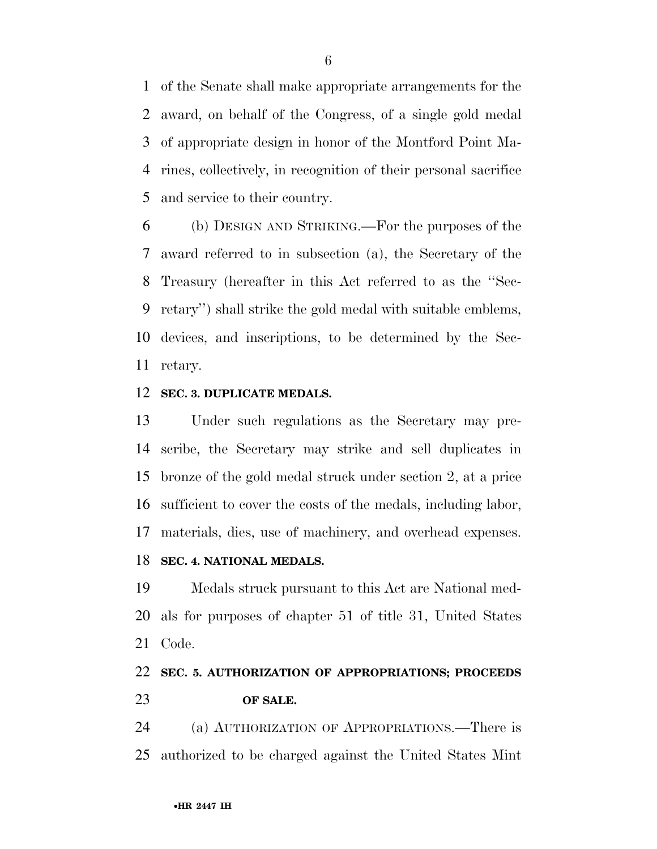of the Senate shall make appropriate arrangements for the award, on behalf of the Congress, of a single gold medal of appropriate design in honor of the Montford Point Ma- rines, collectively, in recognition of their personal sacrifice and service to their country.

 (b) DESIGN AND STRIKING.—For the purposes of the award referred to in subsection (a), the Secretary of the Treasury (hereafter in this Act referred to as the ''Sec- retary'') shall strike the gold medal with suitable emblems, devices, and inscriptions, to be determined by the Sec-retary.

#### **SEC. 3. DUPLICATE MEDALS.**

 Under such regulations as the Secretary may pre- scribe, the Secretary may strike and sell duplicates in bronze of the gold medal struck under section 2, at a price sufficient to cover the costs of the medals, including labor, materials, dies, use of machinery, and overhead expenses.

#### **SEC. 4. NATIONAL MEDALS.**

 Medals struck pursuant to this Act are National med- als for purposes of chapter 51 of title 31, United States Code.

## **SEC. 5. AUTHORIZATION OF APPROPRIATIONS; PROCEEDS OF SALE.**

 (a) AUTHORIZATION OF APPROPRIATIONS.—There is authorized to be charged against the United States Mint